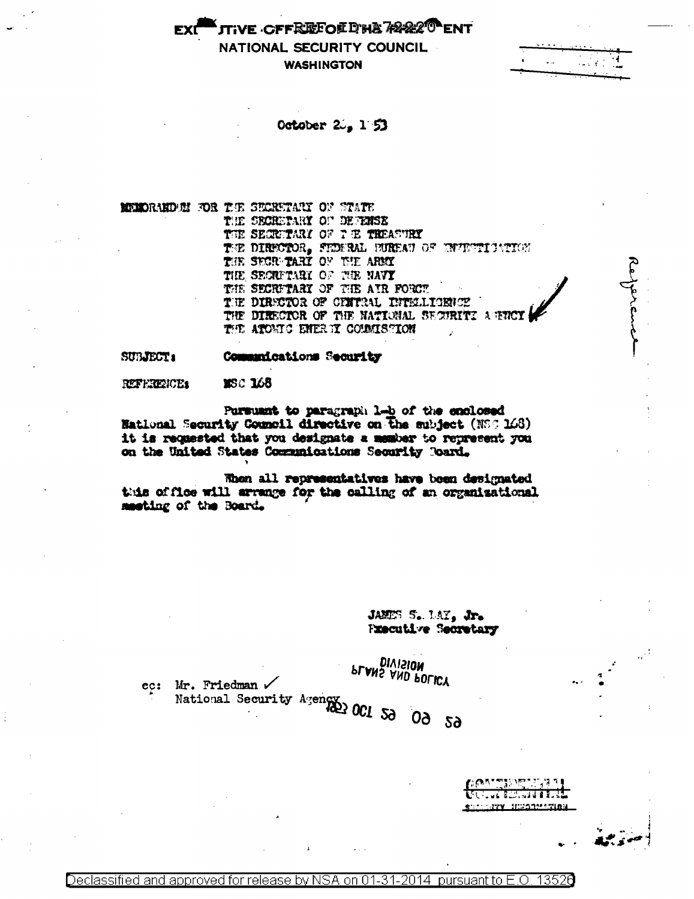ttive cffRRFoedha78820 ent NATIONAL SECURITY COUNCIL **WASHINGTON** 

October  $2.153$ 

**MUNDRAND IN THE SECRETARY OF STATE** 

THE SECRETARY OF DEVENSE THE SECRETARY OF THE THEASURY THE DIRECTOR, FEDERAL BUREAU OF ENVENTIONING THE SECRETARY OF THE ARMY THE SECRETARY OF THE NAVY THE SECRETARY OF THE AIR FORCE THE DIRECTOR OF CHITRAL INTELLIGENCE THE DIRECTOR OF THE NATIONAL SECURITI A ENCY THE ATORIC ENERGY COUNTSHION

Commanications Security **SUBJECT:** 

**MSC 168** REFERENCE:

Pursuant to paragraph lab of the enclosed **Hational Security Council directive on the subject (NSC 168)** it is requested that you designate a member to represent you on the United States Communications Security Poard.

When all representatives have been designated this office will arrange for the calling of an organizational meeting of the Board.

> JAMES S. LAY, Jr. **Fxecutive Secretary**

ec: Mr. Friedman  $\checkmark$ 

**DIAISION** PLANS AND POLICY

Mr. Friedman .<br>National Security Agency 001 50 00 50

53388.81 SEPORTE SERVICE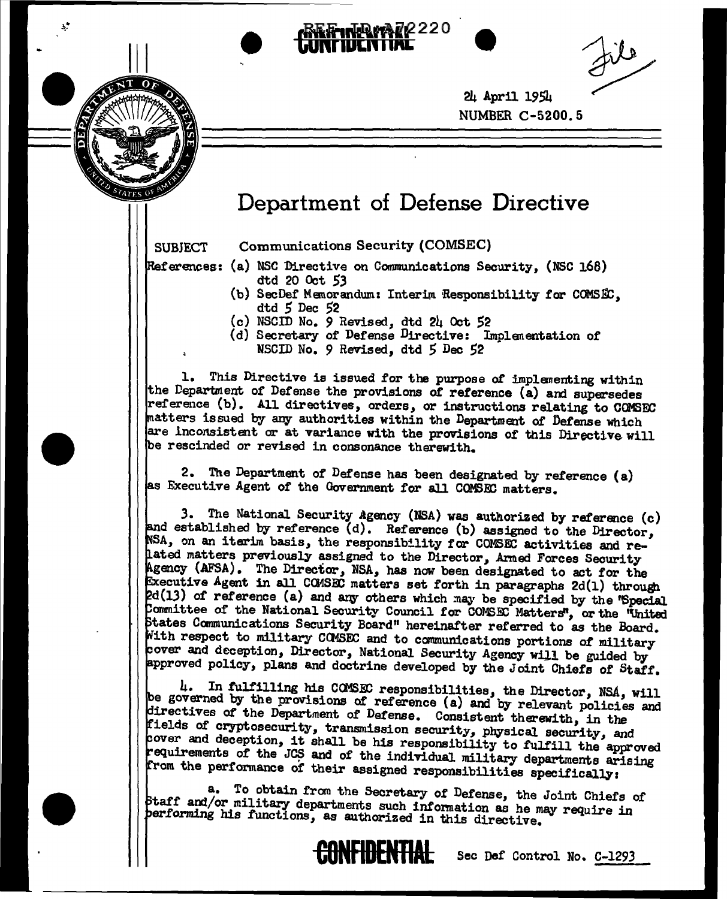

24 April 1954 NUMBER C-5200. 5

## **Department of Defense Directive**

 $r_{ATE}$ 

•

•

SUBJECT Communications Security (COMSEC)

- References: (a) NSC Directive on Communications Security, (NSC 168) dtd 20 Oct *53* 
	- (b) SecDef Memorandum: Interim Responsibility for COMSEC, dtd 5 Dec 52
	- (c) NSCID No. *9* Revised, dtd 24 Oct S2
	- (d) Secretary or Defense Directive: Implenentation of
		- NSCID No. *9* Revised, dtd *5* Dec 52

l. This Directive is issued for the purpose *ot* implanenting within the Department of Defense the provisions of reference (a) and supersedes reference (b). All directives, orders, or instructions relating to COMSEC atters issued by any authorities within the Department of Detense Which are lnconsistent or at variance with the provisions of this Directive will be rescinded or revised in consonance therewith.

2. The Department of Detense has been designated by reference (a) as Executive Agent of the Government for all COMSEC matters.

3. The National Security Agency (NSA) was authorized by reference  $(c)$ and established by reference  $(d)$ . Reference (b) assigned to the Director, NSA, on an iterim basis, the responsibility for COMSEC activities and reated matters previously assigned to the Director, Armed Forces Security gency (AFSA). The Direcior, NSA, has now been designated to act for the ecutive Agent in all COMSEC matters set forth in paragraphs 2d(1) through. 2d(13) of reference (a) and any others which may be specified by the 'Special Committee of the National Security Council for COMSEC Matters", or the "United tates Canmunications Security Board" hereinafter referred to as the Board. With respect to military COMSEC and to communications portions of military over and deception, Director, National. Security Agency will be guided by approved policy, plans and doctrine developed by the Joint Chiefs of Staff.

4. In fulfilling his COMSEC responsibilities, the Director, NSA, will be governed by the provisions of reference (a) and by relevant policies and irectives *ot* the Department of Defense. Consistent therewith, in the fields of cryptosecurity, transmission security, physical security, and over and deception, it shall be his responsibility to fulfill the approved requirements of the JCS and of the individual military departments arising from the performance of their assigned responsibilities specifically:

a. To obtain fran the Secretary of Detense, the Joint Chiefs of Staff and/or military departments such information as he may require in performing his functions, as authorized in this directive.



**CONAOENTIAL** Sec Def Control No. C-1293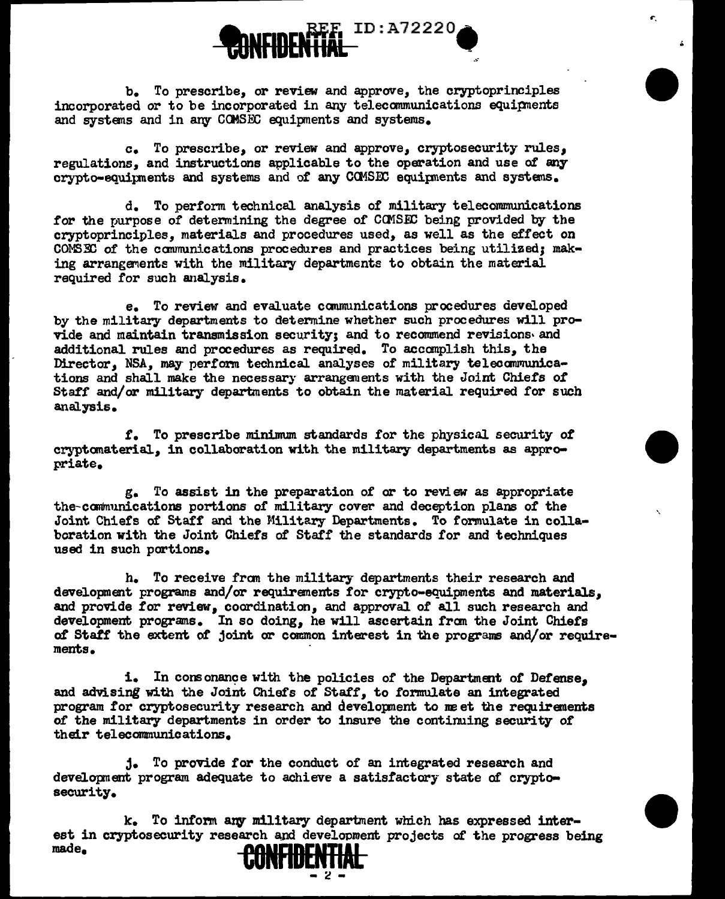

...

•

 $\mathbf{r}$ 

•

•

b. To prescribe, or review and approve, the cryptoprinciples incorporated or to be incorporated in any telecommunications equipments and systems and in any COMSEC equipments and systems.

c. To prescribe, or review and approve, cryptosecurity rules, regulations, and instructions applicable to the operation and use of any crypto-equipments and systems and of any COMSEC equipments and systems.

d. To perform technical analysis of military telecommunications for the purpose of determining the degree of COMSEC being provided by the cryptoprinciples, materials and procedures used, as well as the effect on C01'5:ID of the canmunications procedures and practices being utilized; making arrangements with the military departments to obtain the material required for such analysis.

e. To review and evaluate carum.mications procedures developed by the military departments to determine whether such procedures will provide and maintain transmission security; and to recommend revisions• and additional rules and procedures as required. To accomplish this, the Director, NSA, may perform technical analyses of military telecommunications and shall make the necessary arranganents with the Joint Chiefs of Staff and/or military departments to obtain the material required for such analysis.

*t.* To prescribe minimum standards for the physical security of cryptomaterial, in collaboration with the military departments as appropriate.

g. To assist in the preparation of or to review as appropriate the-canmunications portions of military cover and deception plans of the Joint Chiefs of Staff and the Military Departments. To formulate in collaboration with the Joint Chiefs of Staff the standards for and techniques used in such portions.

h. To receive fran the military departments their research and development programs and/or requirements for crypto-equipments and materials, and provide for review, coordination, and approval of all such research and development programs. In so doing, he will ascertain from the Joint Chiefs *at* Staff the extent of joint or common interest in the programs and/or requirements.

i. In consonance with the policies of the Department of Defense, and advising with the Joint Chiefs of Staff, to formulate an integrated program for cryptosecurity research and development to meet the requirements of the military departments in order to insure the continuing security of their telecommunications.

j. To provide for the conduct of an integrated research and development program adequate to achieve a satisfactory state of cryptosecurity.

k. To inform any military department which has expressed interest in cryptosecurity research and development projects of the progress being made. made. **CONADENTIAL** - <sup>~</sup>-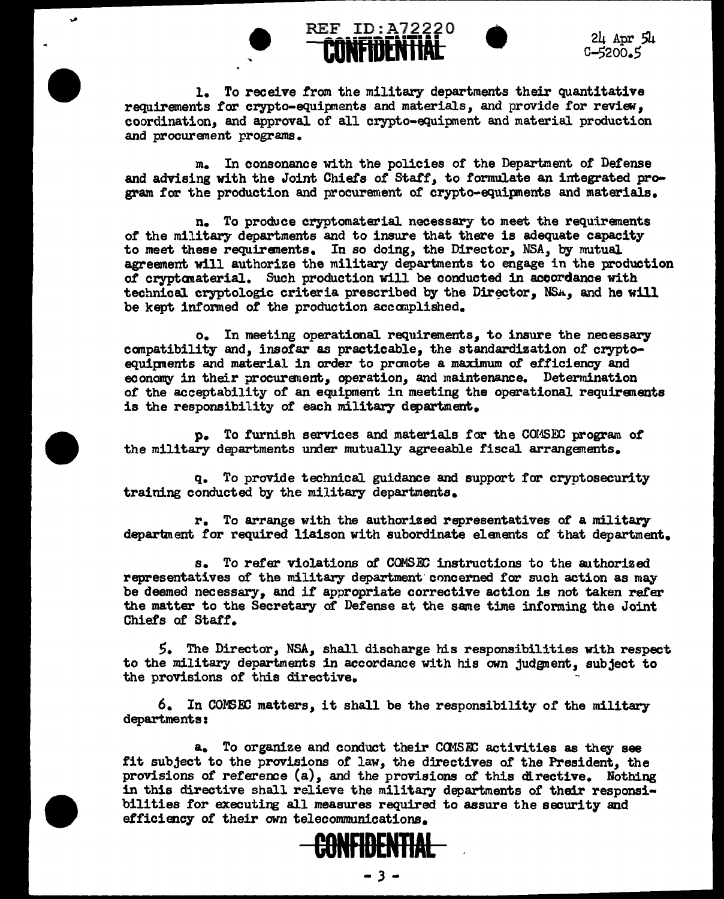**CE ID: A72220**<br> **CONFIDENTIAL**<br>
C-5200.5 c-5200.5

1. To receive from the military departments their quantitative requirements *tor* crypto-equipnents and materials, and provide for review, coordination, and approval of all crypto-equipment and material production and procurement programs.

REF ID:A72220

•

•

•

m. In consonance with the policies or the Department of Defense and advising with the Joint Chiefs of Staff, to formulate an integrated program for the production and procurement of crypto-equipments and materials.

n. To produce cryptomaterial necessary to meet the requirements of the military departments and to insure that there is adequate capacity to meet these requirements. In so doing, the Director, NSA, by mutual agreement will authorize the military departments to engage in the production of cryptanaterial. Such production will be conducted in accordance with technical cryptologic criteria prescribed by the Director, NSA, and he will be kept informed of the production accomplished.

o. In meeting operational requirements, to insure the necessary canpatibility and, insofar as practicable, the standardization of cryptoequipnents and material in order to promote a maximum of efficiency and economy in their procurement, operation, and maintenance. Determination of the acceptability of an equipment in meeting the operational requirements is the responsibility of each military department.

p. To furnish services and materials for the COMSEC program of the military departments under mutually agreeable fiscal arrangements.

q. To provide technical guidance and support for cryptosecurity training conducted by the military departments.

r. To arrange with the authorized representatives *ot* a military department for required liaison with subordinate elanents of that department.

s. To refer violations *ot* COMS.&: instructions to the authorized representatives of the military department concerned for such action as may be deemed necessary, and if appropriate corrective action is not taken refer the matter to the Secretary or Defense at the same time informing the Joint Chiefs of Staff.

5. The Director, NSA,, shall discharge his responsibilities with respect to the military departments in accordance with his own judgment, subject to the provisions of this directive.

6. In COM3EC matters, it shall be the responsibility of the military departments:

a. To organize and conduct their CQ1SFI: activities as they see fit subject to the provisions of law, the directives of the President, the provisions *ot* reference (a), and the provisions of this directive. Nothing in this directive shall relieve the military departments of their responsibilities for executing all measures required to assure the security and efficiency *ot* their own telecommunications.

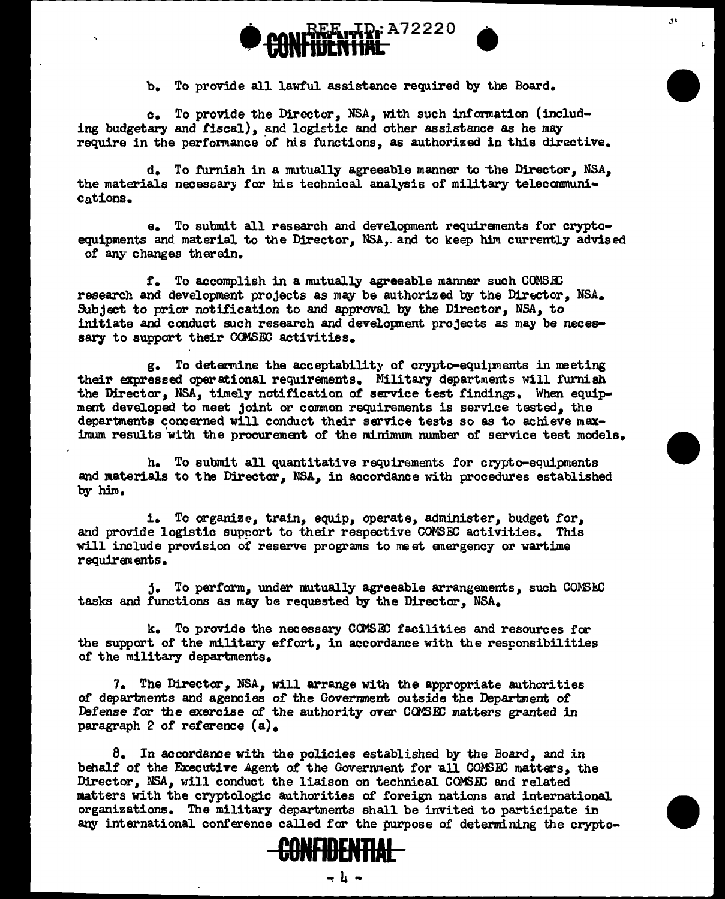

b. To provide all lawful assistance required by the Board.

•

 $\mathbf{r}$ 

34

•

•

c. To provide the Director, NSA, with such infonnation (including budgetary and fiscal), and logietic and other assistance as he may require in the performance of his functions, as authorized in this directive.

d. To furnish in a mutually agreeable manner to "the Director, NSA, the materials necessary for his technical analysis of military telecommunications.

e. To submit all research and development requirements for cryptoequipments and material to the Director, NSA, and to keep him currently advised of any changes therein.

*t.* To accomplish in a mutually agreeable manner such COMSID research and development projects as may be authorized by the Director, NSA. Subject to prior notification to and approval by the Director, NSA, to initiate and conduct such research and development projects as may be necessary to support their COMSEC activities.

g. To determine the acceptability of crypto-equiµments in meeting their expressed operational requirements. Military departments will furnish the Director, NSA, timely notification of service test findings. When equipment developed to meet joint or common requirements is service tested, the departments concerned will conduct their service tests so as to achieve maximum results with the procurement of the minimum number of service test models.

h. To submit all quantitative requirements for crypto-equipments and materials to the Director, NSA, in accordance with procedures established by him.

i. To organize, train, equip, operate, administer, budget for, and provide logistic support to their respective COMSEC activities. This will include provision of reserve programs to me et anergency or wartime requiran ents.

j. To perform, under mutually agreeable arrangements, such COMSEC tasks and functions as may be requested by the Director, NSA.

k. To provide the necessary COMSEC facilities and resources for the support of the military effort, in accordance with the responsibilities of the military departments.

1. The Director, NSA, will arrange with the appropriate authorities of departments and agencies of the Government outside the Department of Defense for the exercise of the authority over COMSEC matters granted in paragraph 2 of reference (a).

*B.* In accordance with the policies established by the Board, and in behalf of the Executive Agent of the Government for all COMSEC matters, the Director, *NSA*, will conduct the liaison on technical COMSEC and related matters with the cryptologic authorities of foreign nations and international organizations. The military departments shall be invited to participate in any international conference called for the purpose of determining the crypto-